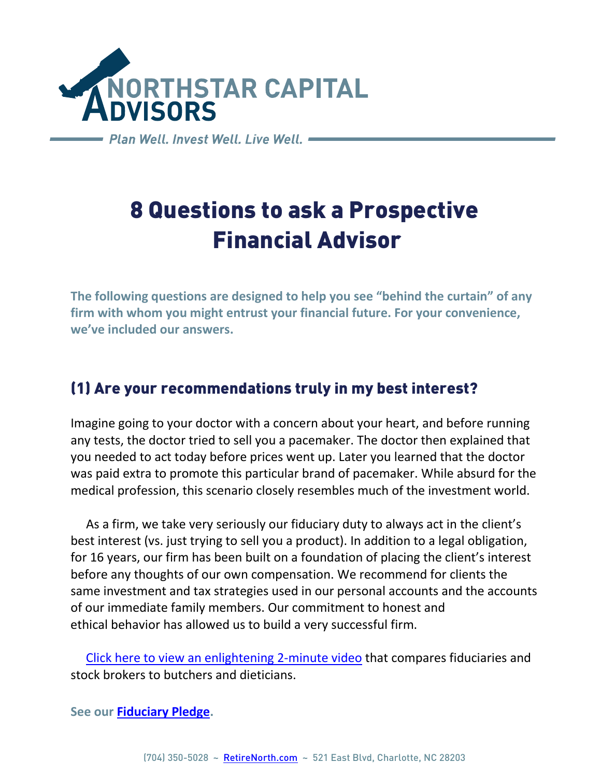

Plan Well, Invest Well, Live Well. -

# 8 Questions to ask a Prospective Financial Advisor

**The following questions are designed to help you see "behind the curtain" of any firm with whom you might entrust your financial future. For your convenience, we've included our answers.**

#### (1) Are your recommendations truly in my best interest?

Imagine going to your doctor with a concern about your heart, and before running any tests, the doctor tried to sell you a pacemaker. The doctor then explained that you needed to act today before prices went up. Later you learned that the doctor was paid extra to promote this particular brand of pacemaker. While absurd for the medical profession, this scenario closely resembles much of the investment world.

 As a firm, we take very seriously our fiduciary duty to always act in the client's best interest (vs. just trying to sell you a product). In addition to a legal obligation, for 16 years, our firm has been built on a foundation of placing the client's interest before any thoughts of our own compensation. We recommend for clients the same investment and tax strategies used in our personal accounts and the accounts of our immediate family members. Our commitment to honest and ethical behavior has allowed us to build a very successful firm.

 [Click here to view](https://www.youtube.com/watch?v=Dg5RRMAc1GY&t=12s) an enlightening 2-minute video that compares fiduciaries and stock brokers to butchers and dieticians.

**See our [Fiduciary Pledge.](https://nstarcapital.com/financial-advisor-fiduciary-oath/)**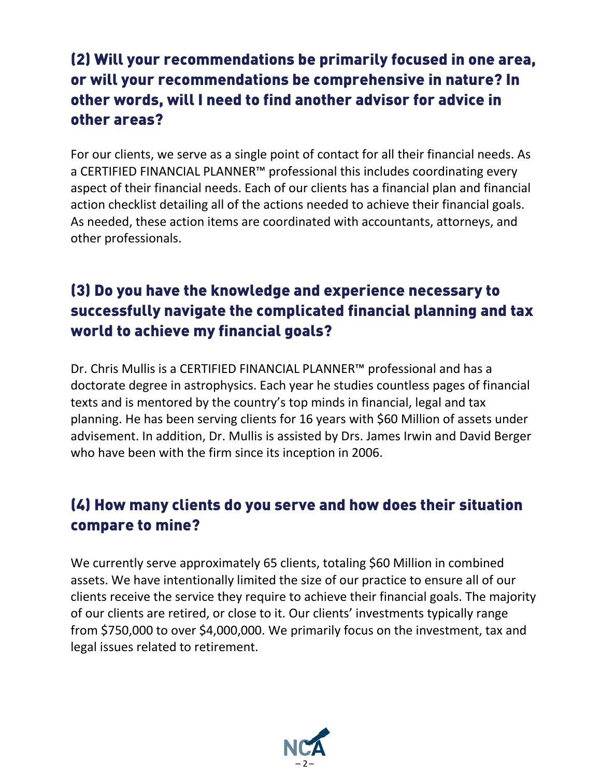### (2) Will your recommendations be primarily focused in one area, or will your recommendations be comprehensive in nature? In other words, will I need to find another advisor for advice in other areas?

For our clients, we serve as a single point of contact for all their financial needs. As a CERTIFIED FINANCIAL PLANNER™ professional this includes coordinating every aspect of their financial needs. Each of our clients has a financial plan and financial action checklist detailing all of the actions needed to achieve their financial goals. As needed, these action items are coordinated with accountants, attorneys, and other professionals.

#### (3) Do you have the knowledge and experience necessary to successfully navigate the complicated financial planning and tax world to achieve my financial goals?

Dr. Chris Mullis is a CERTIFIED FINANCIAL PLANNER™ professional and has a doctorate degree in astrophysics. Each year he studies countless pages of financial texts and is mentored by the country's top minds in financial, legal and tax planning. He has been serving clients for 16 years with \$60 Million of assets under advisement. In addition, Dr. Mullis is assisted by Drs. James Irwin and David Berger who have been with the firm since its inception in 2006.

#### (4) How many clients do you serve and how does their situation compare to mine?

We currently serve approximately 65 clients, totaling \$60 Million in combined assets. We have intentionally limited the size of our practice to ensure all of our clients receive the service they require to achieve their financial goals. The majority of our clients are retired, or close to it. Our clients' investments typically range from \$750,000 to over \$4,000,000. We primarily focus on the investment, tax and legal issues related to retirement.